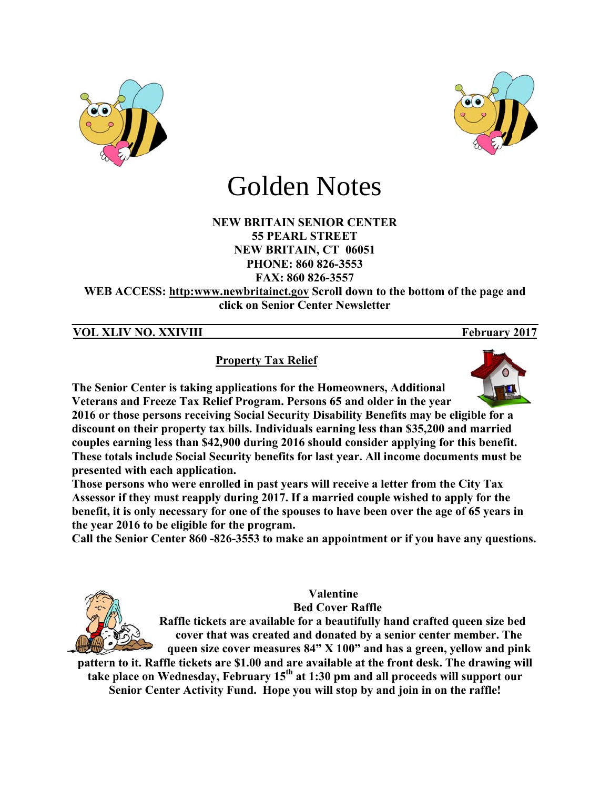



# Golden Notes

#### **NEW BRITAIN SENIOR CENTER 55 PEARL STREET NEW BRITAIN, CT 06051** PHONE: 860 826-3553 FAX: 860 826-3557

WEB ACCESS: http:www.newbritainct.gov Scroll down to the bottom of the page and click on Senior Center Newsletter

### **VOL XLIV NO. XXIVIII**

## **Property Tax Relief**

The Senior Center is taking applications for the Homeowners, Additional Veterans and Freeze Tax Relief Program. Persons 65 and older in the year

2016 or those persons receiving Social Security Disability Benefits may be eligible for a discount on their property tax bills. Individuals earning less than \$35,200 and married couples earning less than \$42,900 during 2016 should consider applying for this benefit. These totals include Social Security benefits for last year. All income documents must be presented with each application.

Those persons who were enrolled in past years will receive a letter from the City Tax Assessor if they must reapply during 2017. If a married couple wished to apply for the benefit, it is only necessary for one of the spouses to have been over the age of 65 years in the year 2016 to be eligible for the program.

Call the Senior Center 860 -826-3553 to make an appointment or if you have any questions.



## **Valentine**

**Bed Cover Raffle** 

Raffle tickets are available for a beautifully hand crafted queen size bed cover that was created and donated by a senior center member. The queen size cover measures 84" X 100" and has a green, yellow and pink

pattern to it. Raffle tickets are \$1.00 and are available at the front desk. The drawing will take place on Wednesday, February 15<sup>th</sup> at 1:30 pm and all proceeds will support our Senior Center Activity Fund. Hope you will stop by and join in on the raffle!

February 2017

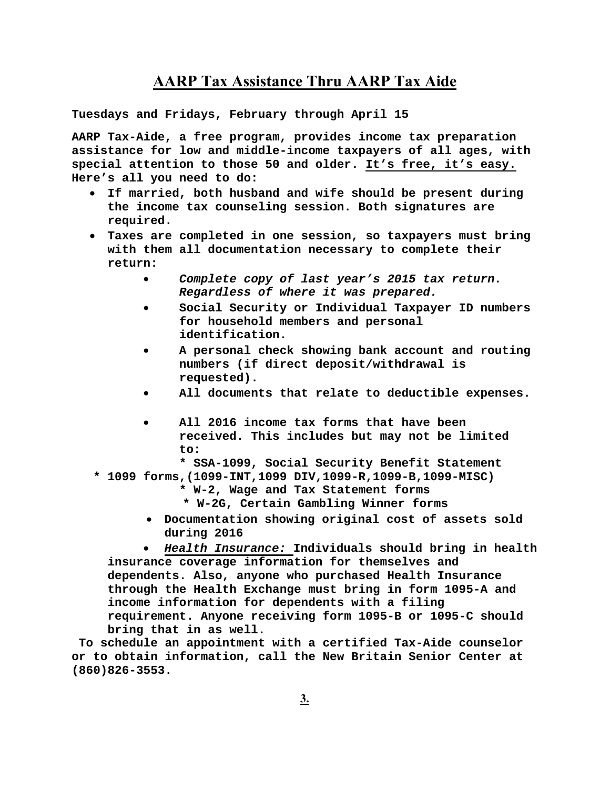## **AARP Tax Assistance Thru AARP Tax Aide**

**Tuesdays and Fridays, February through April 15** 

**AARP Tax-Aide, a free program, provides income tax preparation assistance for low and middle-income taxpayers of all ages, with special attention to those 50 and older. It's free, it's easy. Here's all you need to do:** 

- **If married, both husband and wife should be present during the income tax counseling session. Both signatures are required.**
- **Taxes are completed in one session, so taxpayers must bring with them all documentation necessary to complete their return:** 
	- *Complete copy of last year's 2015 tax return. Regardless of where it was prepared.*
	- **Social Security or Individual Taxpayer ID numbers for household members and personal identification.**
	- **A personal check showing bank account and routing numbers (if direct deposit/withdrawal is requested).**
	- **All documents that relate to deductible expenses.**
	- **All 2016 income tax forms that have been received. This includes but may not be limited to:** 
		- **\* SSA-1099, Social Security Benefit Statement**
- **\* 1099 forms,(1099-INT,1099 DIV,1099-R,1099-B,1099-MISC)** 
	- **\* W-2, Wage and Tax Statement forms**
	- **\* W-2G, Certain Gambling Winner forms**
	- **Documentation showing original cost of assets sold during 2016**

 *Health Insurance:* **Individuals should bring in health insurance coverage information for themselves and dependents. Also, anyone who purchased Health Insurance through the Health Exchange must bring in form 1095-A and income information for dependents with a filing requirement. Anyone receiving form 1095-B or 1095-C should bring that in as well.** 

 **To schedule an appointment with a certified Tax-Aide counselor or to obtain information, call the New Britain Senior Center at (860)826-3553.**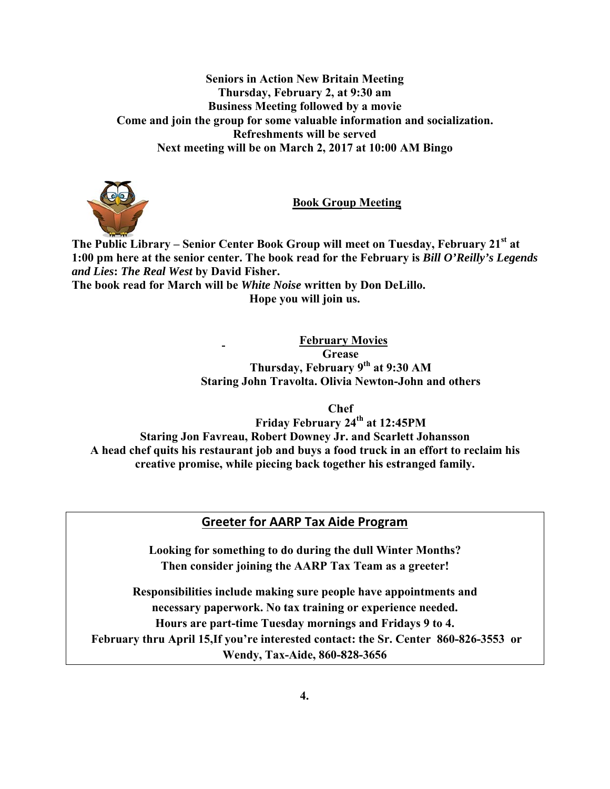#### **Seniors in Action New Britain Meeting** Thursday, February 2, at 9:30 am **Business Meeting followed by a movie** Come and join the group for some valuable information and socialization. Refreshments will be served Next meeting will be on March 2, 2017 at 10:00 AM Bingo



**Book Group Meeting** 

The Public Library – Senior Center Book Group will meet on Tuesday, February 21<sup>st</sup> at 1:00 pm here at the senior center. The book read for the February is Bill O'Reilly's Legends and Lies: The Real West by David Fisher.

The book read for March will be White Noise written by Don DeLillo. Hope you will join us.

> **February Movies Grease** Thursday, February 9th at 9:30 AM **Staring John Travolta. Olivia Newton-John and others**

> > **Chef**

Friday February 24<sup>th</sup> at 12:45PM **Staring Jon Favreau, Robert Downey Jr. and Scarlett Johansson** A head chef quits his restaurant job and buys a food truck in an effort to reclaim his creative promise, while piecing back together his estranged family.

## **Greeter for AARP Tax Aide Program**

Looking for something to do during the dull Winter Months? Then consider joining the AARP Tax Team as a greeter!

Responsibilities include making sure people have appointments and necessary paperwork. No tax training or experience needed. Hours are part-time Tuesday mornings and Fridays 9 to 4. February thru April 15, If you're interested contact: the Sr. Center 860-826-3553 or Wendy, Tax-Aide, 860-828-3656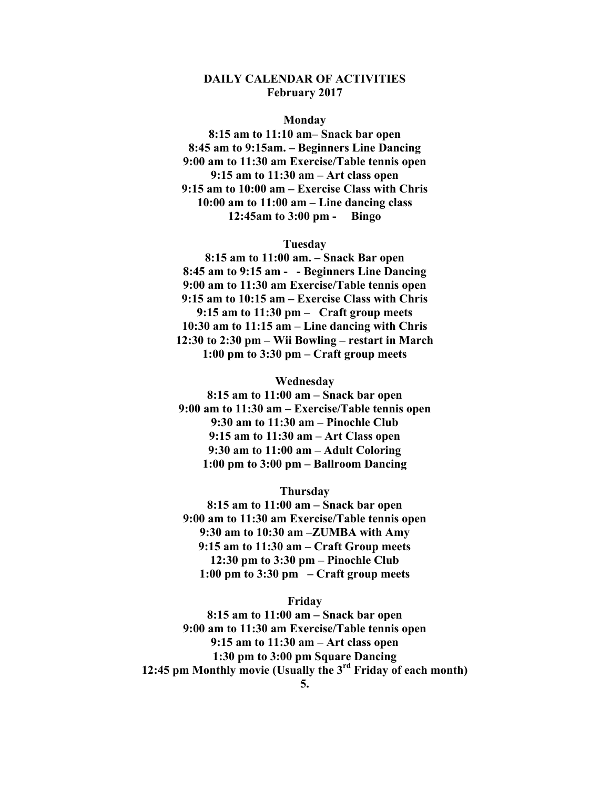#### **DAILY CALENDAR OF ACTIVITIES February 2017**

#### **Monday**

**8:15 am to 11:10 am– Snack bar open 8:45 am to 9:15am. – Beginners Line Dancing 9:00 am to 11:30 am Exercise/Table tennis open 9:15 am to 11:30 am – Art class open 9:15 am to 10:00 am – Exercise Class with Chris 10:00 am to 11:00 am – Line dancing class 12:45am to 3:00 pm - Bingo** 

#### **Tuesday**

**8:15 am to 11:00 am. – Snack Bar open 8:45 am to 9:15 am - - Beginners Line Dancing 9:00 am to 11:30 am Exercise/Table tennis open 9:15 am to 10:15 am – Exercise Class with Chris 9:15 am to 11:30 pm – Craft group meets 10:30 am to 11:15 am – Line dancing with Chris 12:30 to 2:30 pm – Wii Bowling – restart in March 1:00 pm to 3:30 pm – Craft group meets** 

#### **Wednesday**

**8:15 am to 11:00 am – Snack bar open 9:00 am to 11:30 am – Exercise/Table tennis open 9:30 am to 11:30 am – Pinochle Club 9:15 am to 11:30 am – Art Class open 9:30 am to 11:00 am – Adult Coloring 1:00 pm to 3:00 pm – Ballroom Dancing** 

#### **Thursday**

**8:15 am to 11:00 am – Snack bar open 9:00 am to 11:30 am Exercise/Table tennis open 9:30 am to 10:30 am –ZUMBA with Amy 9:15 am to 11:30 am – Craft Group meets 12:30 pm to 3:30 pm – Pinochle Club 1:00 pm to 3:30 pm – Craft group meets** 

#### **Friday**

**8:15 am to 11:00 am – Snack bar open 9:00 am to 11:30 am Exercise/Table tennis open 9:15 am to 11:30 am – Art class open 1:30 pm to 3:00 pm Square Dancing 12:45 pm Monthly movie (Usually the 3rd Friday of each month)**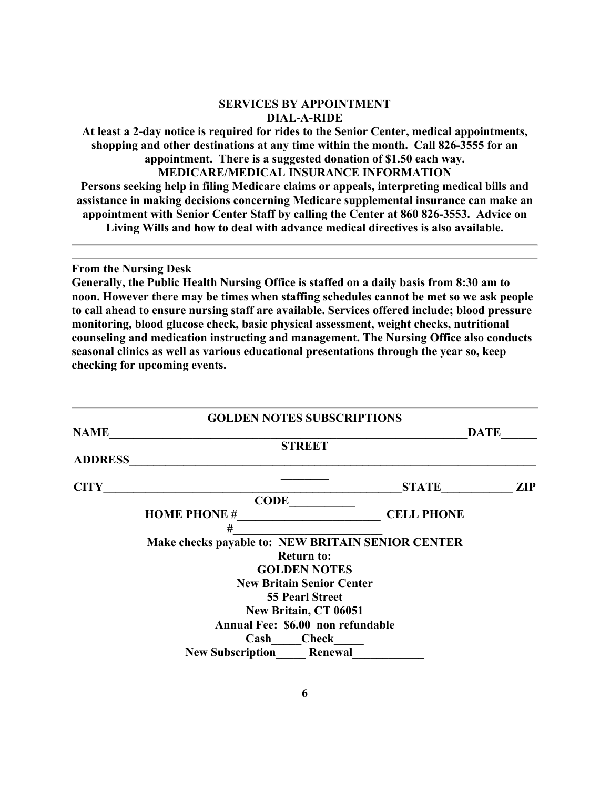#### **SERVICES BY APPOINTMENT DIAL-A-RIDE**

**At least a 2-day notice is required for rides to the Senior Center, medical appointments, shopping and other destinations at any time within the month. Call 826-3555 for an appointment. There is a suggested donation of \$1.50 each way.** 

**MEDICARE/MEDICAL INSURANCE INFORMATION** 

**Persons seeking help in filing Medicare claims or appeals, interpreting medical bills and assistance in making decisions concerning Medicare supplemental insurance can make an appointment with Senior Center Staff by calling the Center at 860 826-3553. Advice on Living Wills and how to deal with advance medical directives is also available.** 

**From the Nursing Desk** 

**Generally, the Public Health Nursing Office is staffed on a daily basis from 8:30 am to noon. However there may be times when staffing schedules cannot be met so we ask people to call ahead to ensure nursing staff are available. Services offered include; blood pressure monitoring, blood glucose check, basic physical assessment, weight checks, nutritional counseling and medication instructing and management. The Nursing Office also conducts seasonal clinics as well as various educational presentations through the year so, keep checking for upcoming events.** 

|                | <b>GOLDEN NOTES SUBSCRIPTIONS</b>                 |                   |             |
|----------------|---------------------------------------------------|-------------------|-------------|
| <b>NAME</b>    |                                                   |                   | <b>DATE</b> |
|                | <b>STREET</b>                                     |                   |             |
| <b>ADDRESS</b> |                                                   |                   |             |
| <b>CITY</b>    |                                                   | <b>STATE</b>      | <b>ZIP</b>  |
|                | <b>CODE</b>                                       |                   |             |
|                | <b>HOME PHONE #</b>                               | <b>CELL PHONE</b> |             |
|                | #                                                 |                   |             |
|                | Make checks payable to: NEW BRITAIN SENIOR CENTER |                   |             |
|                | <b>Return to:</b>                                 |                   |             |
|                | <b>GOLDEN NOTES</b>                               |                   |             |
|                | <b>New Britain Senior Center</b>                  |                   |             |
|                | <b>55 Pearl Street</b>                            |                   |             |
|                | New Britain, CT 06051                             |                   |             |
|                | Annual Fee: \$6.00 non refundable                 |                   |             |
|                | Cash<br><b>Check</b>                              |                   |             |
|                | <b>New Subscription</b><br>Renewal                |                   |             |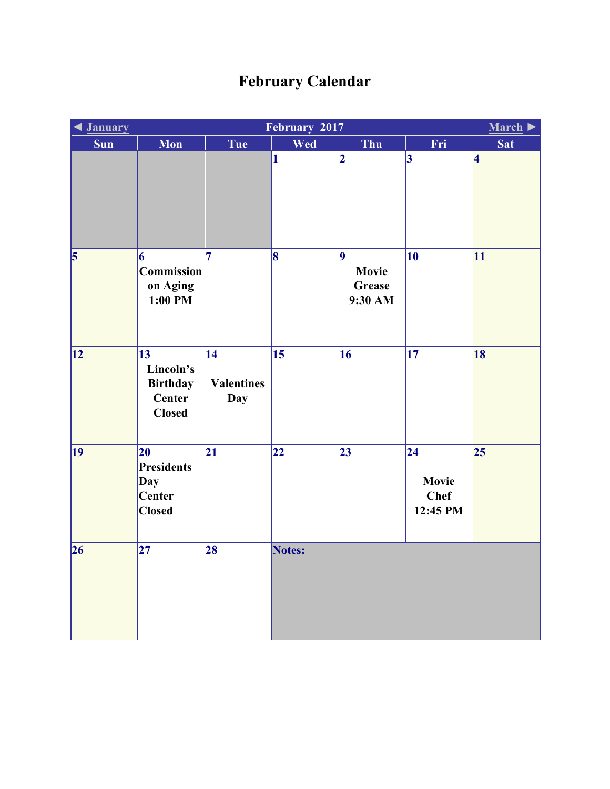## **February Calendar**

| <u><b>January</b></u>   | February 2017<br>March $\blacktriangleright$                               |                                                    |                         |                                 |                                                            |                 |  |
|-------------------------|----------------------------------------------------------------------------|----------------------------------------------------|-------------------------|---------------------------------|------------------------------------------------------------|-----------------|--|
| <b>Sun</b>              | Mon                                                                        | Tue                                                | Wed                     | Thu                             | Fri                                                        | <b>Sat</b>      |  |
|                         |                                                                            |                                                    | 1                       | $\overline{\mathbf{2}}$         | $\overline{3}$                                             | 4               |  |
| $\overline{\mathbf{5}}$ | 6<br>Commission<br>on Aging<br>1:00 PM                                     | 7                                                  | $\overline{\mathbf{8}}$ | 9<br>Movie<br>Grease<br>9:30 AM | $\overline{10}$                                            | $\overline{11}$ |  |
| $\overline{12}$         | $\overline{13}$<br>Lincoln's<br><b>Birthday</b><br>Center<br><b>Closed</b> | $\overline{14}$<br><b>Valentines</b><br><b>Day</b> | $\overline{15}$         | $\overline{16}$                 | $\overline{17}$                                            | 18              |  |
| $ 19\rangle$            | 20<br>Presidents<br>Day<br>Center<br><b>Closed</b>                         | $\overline{21}$                                    | 22                      | $\overline{23}$                 | $\overline{24}$<br><b>Movie</b><br><b>Chef</b><br>12:45 PM | 25              |  |
| 26                      | $\overline{27}$                                                            | 28                                                 | Notes:                  |                                 |                                                            |                 |  |